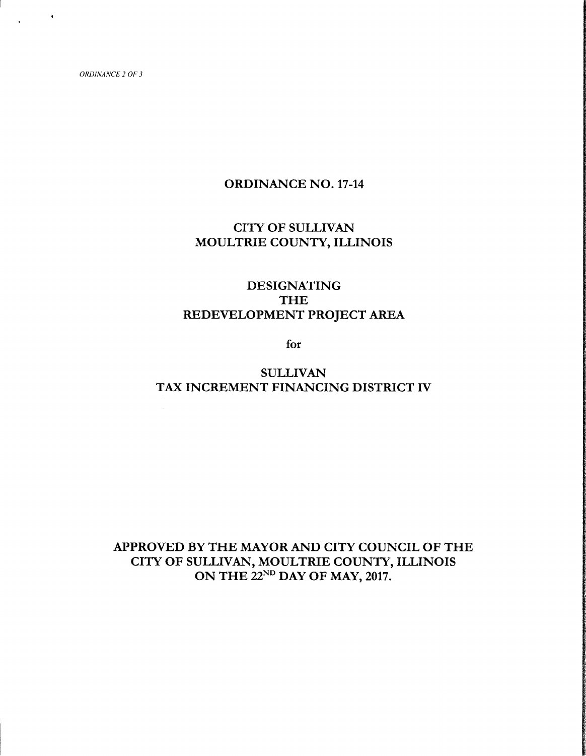$\chi_{\rm{max}}=0.1$ 

## ORDINANCE NO. 17-14

## CITY OF SULLIVAN MOULTRIE COUNTY, ILLINOIS

# DESIGNATING THE REDEVELOPMENT PROJECT AREA

for

## SULLIVAN TAX INCREMENT FINANCING DISTRICT IV

# APPROVED BY THE MAYOR AND CITY COUNCIL OF THE CITY OF SULLIVAN, MOULTRIE COUNTY, ILLINOIS ON THE 22<sup>ND</sup> DAY OF MAY, 2017.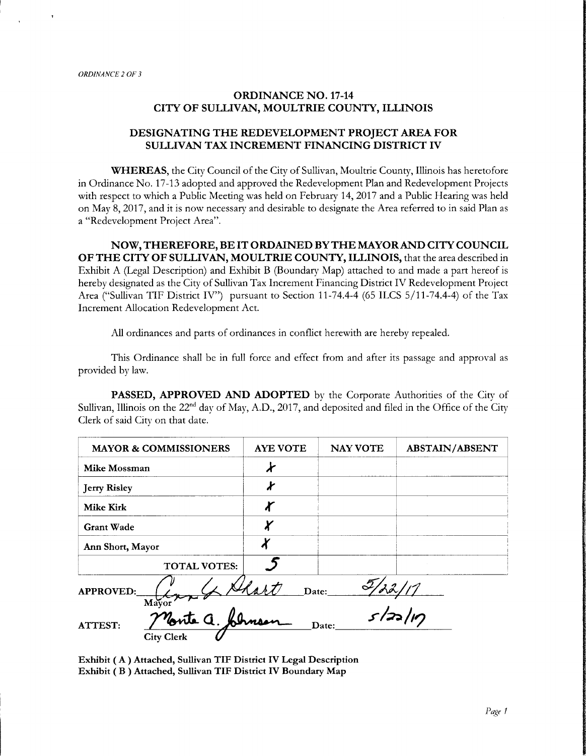## ORDINANCE NO. 17-14 CITY OF SULLIVAN, MOULTRIE COUNTY, ILLINOIS

## DESIGNATING THE REDEVELOPMENT PROJECT AREA FOR SULLIVAN TAX INCREMENT FINANCING DISTRICT IV

WHEREAS, the City Council of the City of Sullivan, Moultrie County, Illinois has heretofore in Ordinance No. 17-13 adopted and approved the Redevelopment Plan and Redevelopment Projects with respect to which <sup>a</sup> Public Meeting was held on February 14, 2017 and <sup>a</sup> Public Hearing was held on May 8, 2017, and it is now necessary and desirable to designate the Area referred to in said Plan as a" Redevelopment Project Area".

NOW,THEREFORE, BE IT ORDAINED BYTHE MAYORAND CITY COUNCIL OF THE CITY OF SULLIVAN, MOULTRIE COUNTY, ILLINOIS, that the area described in Exhibit A (Legal Description) and Exhibit B ( Boundary Map) attached to and made <sup>a</sup> part hereof is hereby designated as the City of Sullivan Tax Increment Financing District IV Redevelopment Project Area ("Sullivan TIF District IV") pursuant to Section 11-74.4-4 (65 ILCS 5/11-74.4-4) of the Tax Increment Allocation Redevelopment Act.

All ordinances and parts of ordinances in conflict herewith are hereby repealed.

This Ordinance shall be in full force and effect from and after its passage and approval as provided by law.

PASSED, APPROVED AND ADOPTED by the Corporate Authorities of the City of Sullivan, Illinois on the  $22^{\text{nd}}$  day of May, A.D., 2017, and deposited and filed in the Office of the City Clerk of said City on that date.

| <b>MAYOR &amp; COMMISSIONERS</b> | <b>AYE VOTE</b> | <b>NAY VOTE</b> | <b>ABSTAIN/ABSENT</b> |
|----------------------------------|-----------------|-----------------|-----------------------|
| Mike Mossman                     |                 |                 |                       |
| <b>Jerry Risley</b>              |                 |                 |                       |
| <b>Mike Kirk</b>                 |                 |                 |                       |
| <b>Grant Wade</b>                |                 |                 |                       |
| Ann Short, Mayor                 | X               |                 |                       |
| <b>TOTAL VOTES:</b>              |                 |                 |                       |
| <b>APPROVED:</b><br>Mayor        | Date:           |                 |                       |

**ATTEST:** 

 $s/22/17$ 

Exhibit ( A) Attached, Sullivan TIF District IV Legal Description Exhibit ( B) Attached, Sullivan TIF District IV Boundary Map

 $\frac{\text{76nte}}{\sqrt{1-\frac{1}{2}}\sqrt{1-\frac{1}{2}}\left(\sqrt{1-\frac{1}{2}}\right)}$ 

City Clerk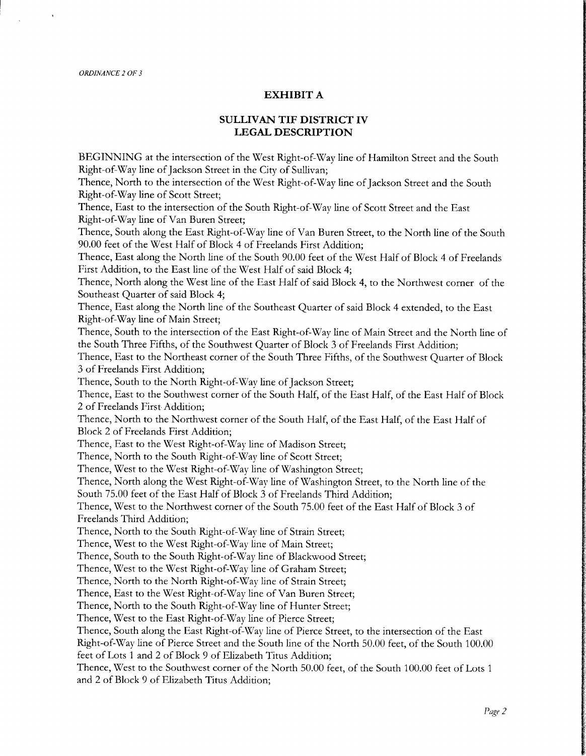### EXHIBIT A

## SULLIVAN TIF DISTRICT IV LEGAL DESCRIPTION

BEGINNING at the intersection of the West Right-of-Way line of Hamilton Street and the South Right-of-Way line of Jackson Street in the City of Sullivan;

Thence, North to the intersection of the West Right-of-Way line of Jackson Street and the South Right-of-Way line of Scott Street;

Thence, East to the intersection of the South Right-of-Way line of Scott Street and the East Right-of-Way line of Van Buren Street;

Thence, South along the East Right-of-Way line of Van Buren Street, to the North line of the South 90.00 feet of the West Half of Block <sup>4</sup> of Freelands First Addition;

Thence, East along the North line of the South 90.00 feet of the West Half of Block <sup>4</sup> of Freelands First Addition, to the East line of the West Half of said Block 4;

Thence, North along the West line of the East Half of said Block 4, to the Northwest corner of the Southeast Quarter of said Block 4;

Thence, East along the North line of the Southeast Quarter of said Block 4 extended, to the East Right-of-Way line of Main Street;

Thence, South to the intersection of the East Right-of-Way line of Main Street and the North line of the South Three Fifths, of the Southwest Quarter of Block <sup>3</sup> of Freelands First Addition;

Thence, East to the Northeast corner of the South Three Fifths, of the Southwest Quarter of Block <sup>3</sup> of Freelands First Addition;

Thence, South to the North Right-of-Way line of Jackson Street;

Thence, East to the Southwest corner of the South Half, of the East Half, of the East Half of Block <sup>2</sup> of Freelands First Addition;

Thence, North to the Northwest corner of the South Half, of the East Half, of the East Half of Block <sup>2</sup> of Freelands First Addition;

Thence, East to the West Right-of-Way line of Madison Street;

Thence, North to the South Right-of-Way line of Scott Street;

Thence, West to the West Right-of-Way line of Washington Street;

Thence, North along the West Right-of-Way line of Washington Street, to the North line of the

South 75.00 feet of the East Half of Block <sup>3</sup> of Freelands Third Addition;

Thence, West to the Northwest corner of the South 75. 00 feet of the East Half of Block <sup>3</sup> of Freelands Third Addition;

Thence, North to the South Right-of-Way line of Strain Street;

Thence, West to the West Right-of-Way line of Main Street;

Thence, South to the South Right-of-Way line of Blackwood Street;

Thence, West to the West Right-of-Way line of Graham Street;

Thence, North to the North Right-of-Way line of Strain Street;

Thence, East to the West Right-of-Way line of Van Buren Street;

Thence, North to the South Right-of-Way line of Hunter Street;

Thence, West to the East Right-of-Way line of Pierce Street;

Thence, South along the East Right-of-Way line of Pierce Street, to the intersection of the East

Right-of-Way line of Pierce Street and the South line of the North 50.00 feet, of the South 100.00 feet of Lots <sup>1</sup> and <sup>2</sup> of Block <sup>9</sup> of Elizabeth Titus Addition;

Thence, West to the Southwest corner of the North 50.00 feet, of the South 100.00 feet of Lots <sup>1</sup> and <sup>2</sup> of Block <sup>9</sup> of Elizabeth Titus Addition;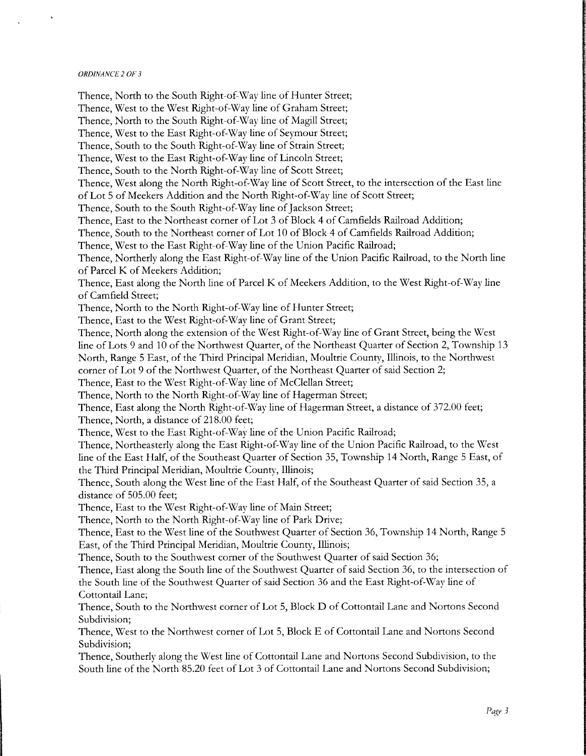Thence, North to the South Right-of-Way line of Hunter Street; Thence, West to the West Right-of-Way line of Graham Street; Thence, North to the South Right-of-Way line of Magill Street; Thence, West to the East Right-of-Way line of Seymour Street; Thence, South to the South Right-of-Way line of Strain Street; Thence, West to the East Right-of-Way line of Lincoln Street; Thence, South to the North Right-of-Way line of Scott Street; Thence, West along the North Right-of-Way line of Scott Street, to the intersection of the East line of Lot <sup>5</sup> of Meekers Addition and the North Right-of-Way line of Scott Street; Thence, South to the South Right-of-Way line of Jackson Street; Thence, East to the Northeast corner of Lot <sup>3</sup> of Block 4 of Camfields Railroad Addition; Thence, South to the Northeast corner of Lot <sup>10</sup> of Block 4 of Camfields Railroad Addition; Thence, West to the East Right-of-Way line of the Union Pacific Railroad; Thence, Northerly along the East Right-of-Way line of the Union Pacific Railroad, to the North line of Parcel K of Meekers Addition; Thence, East along the North line of Parcel K of Meekers Addition, to the West Right-of-Way line of Camfield Street; Thence, North to the North Right-of-Way line of Hunter Street; Thence, East to the West Right-of-Way line of Grant Street; Thence, North along the extension of the West Right-of-Way line of Grant Street, being the West line of Lots <sup>9</sup> and <sup>10</sup> of the Northwest Quarter, of the Northeast Quarter of Section 2, Township <sup>13</sup> North, Range <sup>5</sup> East, of the Third Principal Meridian, Moultrie County, Illinois, to the Northwest corner of Lot <sup>9</sup> of the Northwest Quarter, of the Northeast Quarter of said Section 2; Thence, East to the West Right-of-Way line of McClellan Street; Thence, North to the North Right-of-Way line of Hagerman Street; Thence, East along the North Right-of-Way line of Hagerman Street, a distance of 372. 00 feet; Thence, North, a distance of 218.00 feet; Thence, West to the East Right-of-Way line of the Union Pacific Railroad; Thence, Northeasterly along the East Right-of-Way line of the Union Pacific Railroad, to the West line of the East Half, of the Southeast Quarter of Section 35, Township <sup>14</sup> North, Range <sup>5</sup> East, of the Third Principal Meridian, Moultrie County, Illinois; Thence, South along the West line of the East Half, of the Southeast Quarter of said Section 35, a distance of 505.00 feet; Thence, East to the West Right-of-Way line of Main Street; Thence, North to the North Right-of-Way line of Park Drive; Thence, East to the West line of the Southwest Quarter of Section 36, Township 14 North, Range <sup>5</sup> East, of the Third Principal Meridian, Moultrie County, Illinois; Thence, South to the Southwest corner of the Southwest Quarter of said Section 36; Thence, East along the South line of the Southwest Quarter of said Section 36, to the intersection of the South line of the Southwest Quarter of said Section 36 and the East Right-of-Way line of Cottontail Lane; Thence, South to the Northwest corner of Lot 5, Block D of Cottontail Lane and Nortons Second Subdivision; Thence, West to the Northwest corner of Lot 5, Block E of Cottontail Lane and Nortons Second Subdivision; Thence, Southerly along the West line of Cottontail Lane and Nortons Second Subdivision, to the South line of the North 85.20 feet of Lot 3 of Cottontail Lane and Nortons Second Subdivision;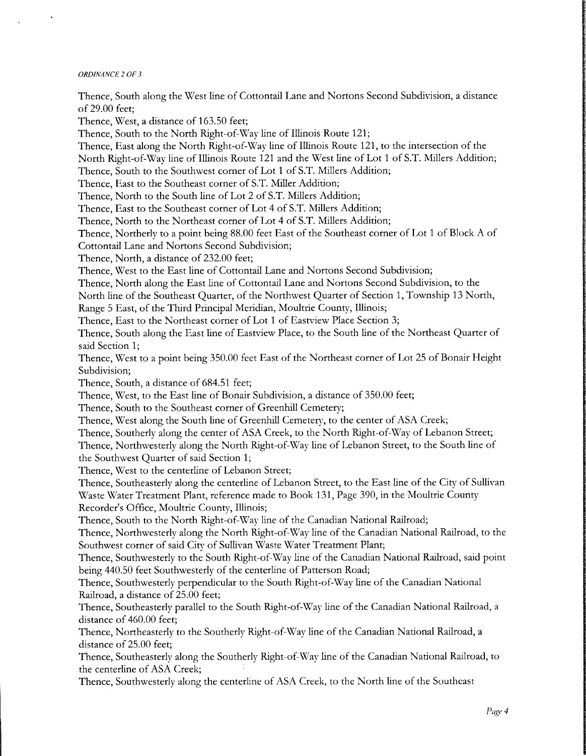Thence, South along the West line of Cottontail Lane and Nortons Second Subdivision, a distance of 29.00 feet; Thence, West, a distance of 163.50 feet; Thence, South to the North Right-of-Way line of Illinois Route 121; Thence, East along the North Right-of-Way line of Illinois Route 121, to the intersection of the North Right-of-Way line of Illinois Route 121 and the West line of Lot 1 of S.T. Millers Addition; Thence, South to the Southwest corner of Lot 1 of S.T. Millers Addition; Thence, East to the Southeast corner of S.T. Miller Addition; Thence, North to the South line of Lot <sup>2</sup> of S.T. Millers Addition; Thence, East to the Southeast corner of Lot 4 of S.T. Millers Addition; Thence, North to the Northeast corner of Lot 4 of S.T. Millers Addition; Thence, Northerly to <sup>a</sup> point being 88.00 feet East of the Southeast corner of Lot <sup>1</sup> of Block A of Cottontail Lane and Nortons Second Subdivision; Thence, North, a distance of 232.00 feet; Thence, West to the East line of Cottontail Lane and Nortons Second Subdivision; Thence, North along the East line of Cottontail Lane and Nortons Second Subdivision, to the North line of the Southeast Quarter, of the Northwest Quarter of Section 1, Township <sup>13</sup> North, Range <sup>5</sup> East, of the Third Principal Meridian, Moultrie County, Illinois; Thence, East to the Northeast corner of Lot <sup>1</sup> of Eastview Place Section 3; Thence, South along the East line of Eastview Place, to the South line of the Northeast Quarter of said Section 1; Thence, West to <sup>a</sup> point being 350.00 feet East of the Northeast corner of Lot <sup>25</sup> of Bonair Height Subdivision; Thence, South, a distance of 684.51 feet; Thence, West, to the East line of Bonair Subdivision, <sup>a</sup> distance of 350.00 feet; Thence, South to the Southeast corner of Greenhill Cemetery; Thence, West along the South line of Greenhill Cemetery, to the center of ASA Creek; Thence, Southerly along the center of ASA Creek, to the North Right-of-Way of Lebanon Street; Thence, Northwesterly along the North Right-of-Way line of Lebanon Street, to the South line of the Southwest Quarter of said Section 1; Thence, West to the centerline of Lebanon Street; Thence, Southeasterly along the centerline of Lebanon Street, to the East line of the City of Sullivan Waste Water Treatment Plant, reference made to Book 131, Page 390, in the Moultrie County Recorder's Office, Moultrie County, Illinois; Thence, South to the North Right-of-Way line of the Canadian National Railroad; Thence, Northwesterly along the North Right-of-Way line of the Canadian National Railroad, to the Southwest corner of said City of Sullivan Waste Water Treatment Plant; Thence, Southwesterly to the South Right-of-Way line of the Canadian National Railroad, said point being 440.50 feet Southwesterly of the centerline of Patterson Road; Thence, Southwesterly perpendicular to the South Right-of-Way line of the Canadian National Railroad, a distance of 25.00 feet; Thence, Southeasterly parallel to the South Right-of-Way line of the Canadian National Railroad, a distance of 460.00 feet; Thence, Northeasterly to the Southerly Right-of-Way line of the Canadian National Railroad, a distance of 25.00 feet; Thence, Southeasterly along the Southerly Right-of-Way line of the Canadian National Railroad, to the centerline of ASA Creek; Thence, Southwesterly along the centerline of ASA Creek, to the North line of the Southeast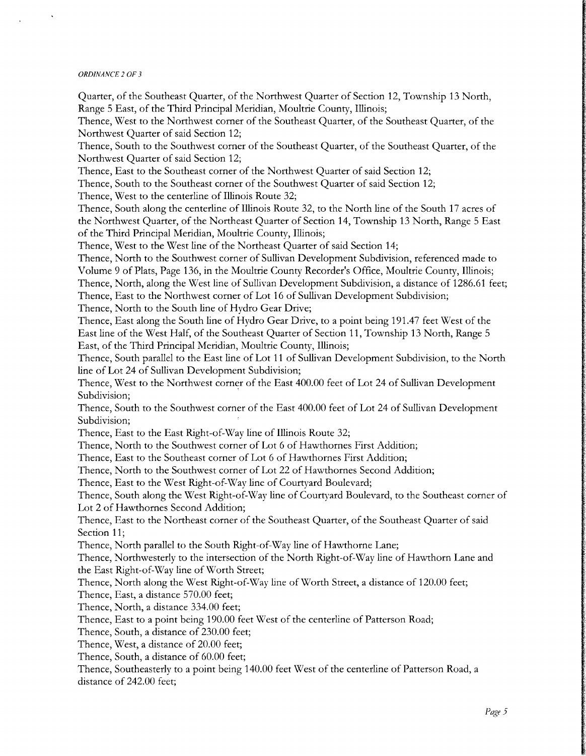Quarter, of the Southeast Quarter, of the Northwest Quarter of Section 12, Township <sup>13</sup> North, Range <sup>5</sup> East, of the Third Principal Meridian, Moultrie County, Illinois;

Thence, West to the Northwest corner of the Southeast Quarter, of the Southeast Quarter, of the Northwest Quarter of said Section 12;

Thence, South to the Southwest corner of the Southeast Quarter, of the Southeast Quarter, of the Northwest Quarter of said Section 12;

Thence, East to the Southeast corner of the Northwest Quarter of said Section 12;

Thence, South to the Southeast corner of the Southwest Quarter of said Section 12;

Thence, West to the centerline of Illinois Route 32;

Thence, South along the centerline of Illinois Route 32, to the North line of the South <sup>17</sup> acres of the Northwest Quarter, of the Northeast Quarter of Section 14, Township <sup>13</sup> North, Range <sup>5</sup> East of the Third Principal Meridian, Moultrie County, Illinois;

Thence, West to the West line of the Northeast Quarter of said Section 14;

Thence, North to the Southwest corner of Sullivan Development Subdivision, referenced made to Volume <sup>9</sup> of Plats, Page 136, in the Moultrie County Recorder's Office, Moultrie County, Illinois; Thence, North, along the West line of Sullivan Development Subdivision, a distance of 1286. <sup>61</sup> feet; Thence, East to the Northwest corner of Lot <sup>16</sup> of Sullivan Development Subdivision;

Thence, North to the South line of Hydro Gear Drive;

Thence, East along the South line of Hydro Gear Drive, to <sup>a</sup> point being 191. 47 feet West of the East line of the West Half, of the Southeast Quarter of Section 11, Township <sup>13</sup> North, Range <sup>5</sup> East, of the Third Principal Meridian, Moultrie County, Illinois;

Thence, South parallel to the East line of Lot <sup>11</sup> of Sullivan Development Subdivision, to the North line of Lot 24 of Sullivan Development Subdivision;

Thence, West to the Northwest corner of the East 400.00 feet of Lot 24 of Sullivan Development Subdivision;

Thence, South to the Southwest corner of the East 400.00 feet of Lot 24 of Sullivan Development Subdivision;

Thence, East to the East Right-of-Way line of Illinois Route 32;

Thence, North to the Southwest corner of Lot <sup>6</sup> of Hawthornes First Addition;

Thence, East to the Southeast corner of Lot <sup>6</sup> of Hawthornes First Addition;

Thence, North to the Southwest corner of Lot 22 of Hawthornes Second Addition;

Thence, East to the West Right-of-Way line of Courtyard Boulevard;

Thence, South along the West Right-of-Wav line of Courtyard Boulevard, to the Southeast corner of Lot <sup>2</sup> of Hawthornes Second Addition;

Thence, East to the Northeast corner of the Southeast Quarter, of the Southeast Quarter of said Section 11;

Thence, North parallel to the South Right-of-Way line of Hawthorne Lane;

Thence, Northwesterly to the intersection of the North Right-of-Wav line of Hawthorn Lane and the East Right-of-Way line of Worth Street;

Thence, North along the West Right-of-Way line of Worth Street, a distance of 120.00 feet;

Thence, East, a distance 570.00 feet;

Thence, North, a distance 334.00 feet;

Thence, East to <sup>a</sup> point being 190.00 feet West of the centerline of Patterson Road;

Thence, South, a distance of 230.00 feet;

Thence, West, <sup>a</sup> distance of 20.00 feet;

Thence, South, a distance of 60.00 feet;

Thence, Southeasterly to <sup>a</sup> point being 140.00 feet West of the centerline of Patterson Road, a distance of 242.00 feet;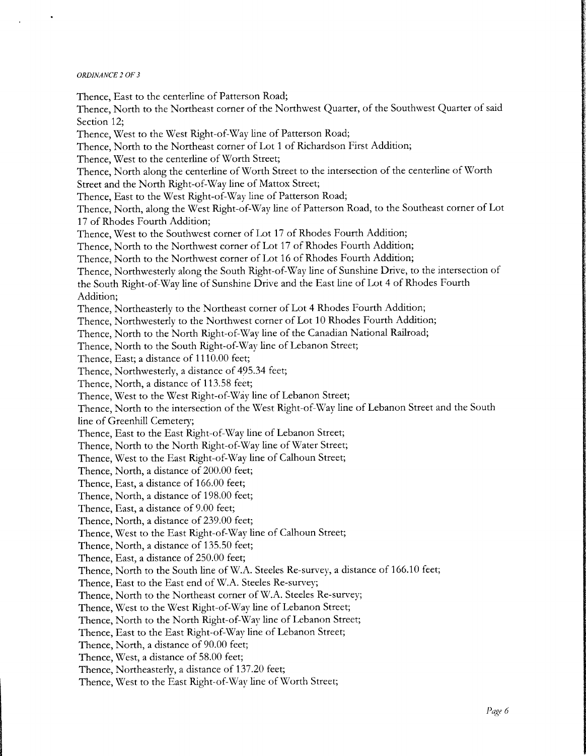Thence, East to the centerline of Patterson Road; Thence, North to the Northeast corner of the Northwest Quarter, of the Southwest Quarter of said Section 12; Thence, West to the West Right-of-Way line of Patterson Road; Thence, North to the Northeast corner of Lot <sup>1</sup> of Richardson First Addition; Thence, West to the centerline of Worth Street; Thence, North along the centerline of Worth Street to the intersection of the centerline of Worth Street and the North Right-of-Way line of Mattox Street; Thence, East to the West Right-of-Way line of Patterson Road; Thence, North, along the West Right-of-Way line of Patterson Road, to the Southeast corner of Lot <sup>17</sup> of Rhodes Fourth Addition; Thence, West to the Southwest corner of Lot <sup>17</sup> of Rhodes Fourth Addition; Thence, North to the Northwest corner of Lot <sup>17</sup> of Rhodes Fourth Addition; Thence, North to the Northwest corner of Lot <sup>16</sup> of Rhodes Fourth Addition; Thence, Northwesterly along the South Right-of-Way line of Sunshine Drive, to the intersection of the South Right-of-Way line of Sunshine Drive and the East line of Lot <sup>4</sup> of Rhodes Fourth Addition; Thence, Northeasterly to the Northeast corner of Lot 4 Rhodes Fourth Addition; Thence, Northwesterly to the Northwest corner of Lot 10 Rhodes Fourth Addition; Thence, North to the North Right-of-Way line of the Canadian National Railroad; Thence, North to the South Right-of-Way line of Lebanon Street; Thence, East; a distance of 1110.00 feet; Thence, Northwesterly, a distance of 495. 34 feet; Thence, North, <sup>a</sup> distance of 113.58 feet; Thence, West to the West Right-of-Way line of Lebanon Street; Thence, North to the intersection of the West Right-of-Way line of Lebanon Street and the South line of Greenhill Cemetery; Thence, East to the East Right-of-Way line of Lebanon Street; Thence, North to the North Right-of-Way line of Water Street; Thence, West to the East Right-of-Way line of Calhoun Street; Thence, North, a distance of 200.00 feet; Thence, East, a distance of 166.00 feet; Thence, North, a distance of 198.00 feet; Thence, East, a distance of 9.00 feet; Thence, North, a distance of 239.00 feet; Thence, West to the East Right-of-Way line of Calhoun Street; Thence, North, a distance of 135.50 feet; Thence, East, a distance of 250.00 feet; Thence, North to the South line of W.A. Steeles Re-survey, a distance of 166.10 feet; Thence, East to the East end of W.A. Steeles Re-survey; Thence, North to the Northeast corner of W.A. Steeles Re-survey; Thence, West to the West Right-of-Way line of Lebanon Street; Thence, North to the North Right-of-Way line of Lebanon Street; Thence, East to the East Right-of-Way line of Lebanon Street; Thence, North, a distance of 90.00 feet; Thence, West, a distance of 58.00 feet; Thence, Northeasterly, a distance of 137.20 feet; Thence, West to the East Right-of-Way line of Worth Street;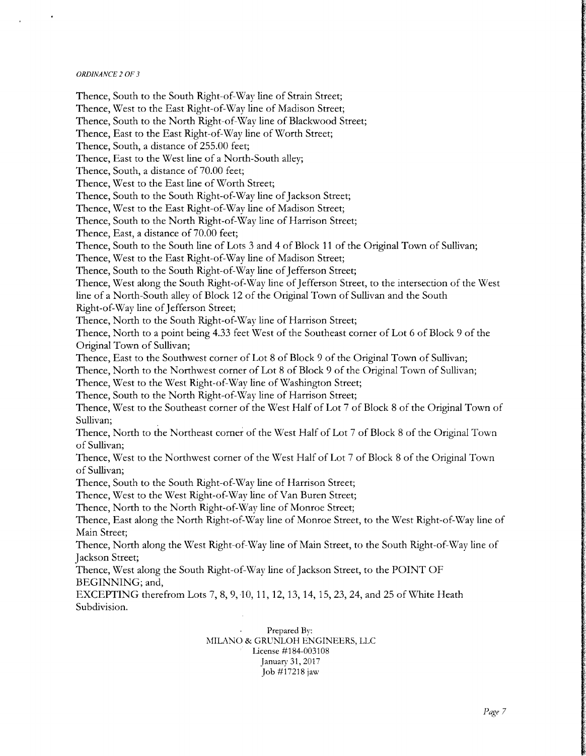Thence, South to the South Right-of-Way line of Strain Street; Thence, West to the East Right-of-Way line of Madison Street; Thence, South to the North Right-of-Way line of Blackwood Street; Thence, East to the East Right-of-Way line of Worth Street; Thence, South, a distance of 255. 00 feet; Thence, East to the West line of <sup>a</sup> North-South alley; Thence, South, a distance of 70.00 feet; Thence, West to the East line of Worth Street; Thence, South to the South Right-of-Way line of Jackson Street; Thence, West to the East Right-of-Wav line of Madison Street; Thence, South to the North Right-of-Way line of Harrison Street; Thence, East, a distance of 70.00 feet; Thence, South to the South line of Lots <sup>3</sup> and <sup>4</sup> of Block <sup>11</sup> of the Original Town of Sullivan; Thence, West to the East Right-of-Way line of Madison Street; Thence, South to the South Right-of-Way line of Jefferson Street; Thence, West along the South Right-of-Way line of Jefferson Street, to the intersection of the West line of <sup>a</sup> North-South alley of Block <sup>12</sup> of the Original Town of Sullivan and the South Right-of-Way line of Jefferson Street; Thence, North to the South Right-of-Way line of Harrison Street; Thence, North to <sup>a</sup> point being 4.33 feet West of the Southeast corner of Lot <sup>6</sup> of Block <sup>9</sup> of the Original Town of Sullivan; Thence, East to the Southwest corner of Lot 8 of Block 9 of the Original Town of Sullivan; Thence, North to the Northwest corner of Lot <sup>8</sup> of Block <sup>9</sup> of the Original Town of Sullivan; Thence, West to the West Right-of-Way line of Washington Street; Thence, South to the North Right-of-Way line of Harrison Street; Thence, West to the Southeast corner of the West Half of Lot <sup>7</sup> of Block <sup>8</sup> of the Original Town of Sullivan; Thence, North to the Northeast corner of the West Half of Lot <sup>7</sup> of Block <sup>8</sup> of the Original Town of Sullivan; Thence, West to the Northwest corner of the West Half of Lot <sup>7</sup> of Block <sup>8</sup> of the Original Town of Sullivan; Thence, South to the South Right-of-Way line of Harrison Street; Thence, West to the West Right-of-Way line of Van Buren Street; Thence, North to the North Right-of-Way line of Monroe Street; Thence, East along the North Right-of-Way line of Monroe Street, to the West Right-of-Way line of Main Street; Thence, North along the West Right-of-Way line of Main Street, to the South Right-of-Way line of Jackson Street; Thence, West along the South Right-of-Way line of Jackson Street, to the POINT OF BEGINNING; and, EXCEPTING therefrom Lots 7, 8, 9, 10, 11, 12, 13, 14, 15, 23, 24, and 25 of White Heath Subdivision.

Prepared By: MILANO & GRUNLOH ENGINEERS, LLC License #184-003108 January 31, 2017 Job# 17218 jaw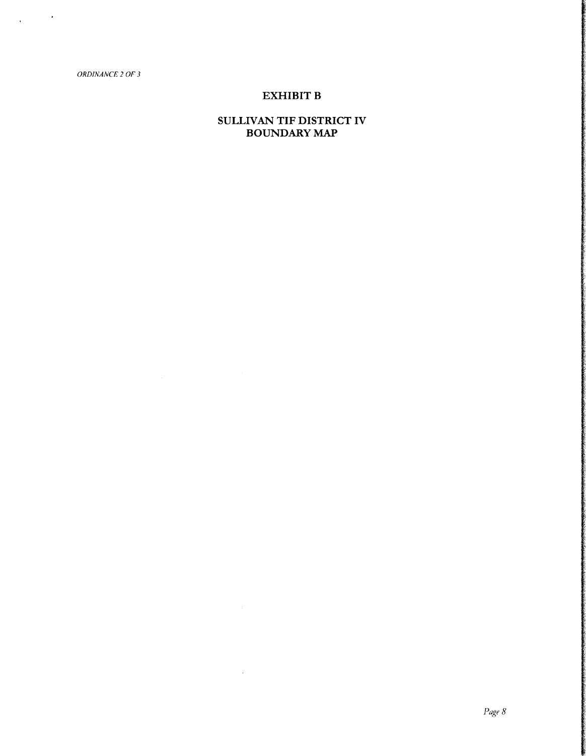$\Delta \sim 10^{-10}$ 

## EXHIBIT B

## SULLIVAN TIF DISTRICT IV BOUNDARY MAP

 $\sim$   $\sim$ 

Page 8